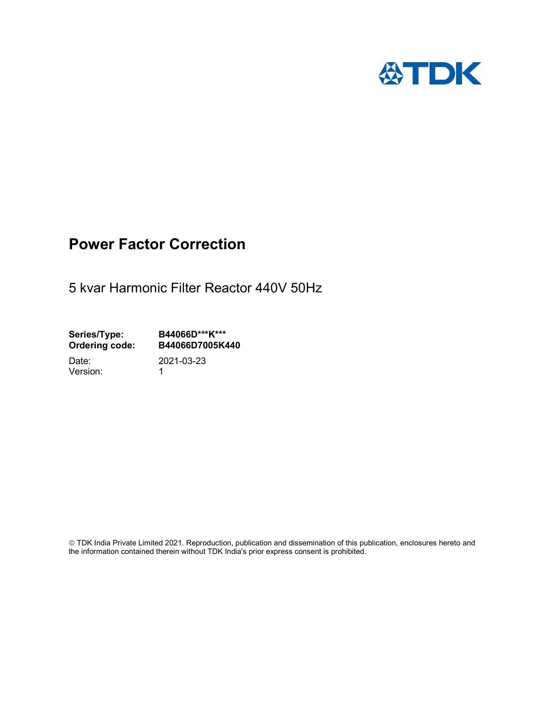

## Power Factor Correction

5 kvar Harmonic Filter Reactor 440V 50Hz

Series/Type: B44066D\*\*\*K\*\*\*<br>Ordering code: B44066D7005K4 B44066D7005K440

Version: 1

Date: 2021-03-23

 TDK India Private Limited 2021. Reproduction, publication and dissemination of this publication, enclosures hereto and the information contained therein without TDK India's prior express consent is prohibited.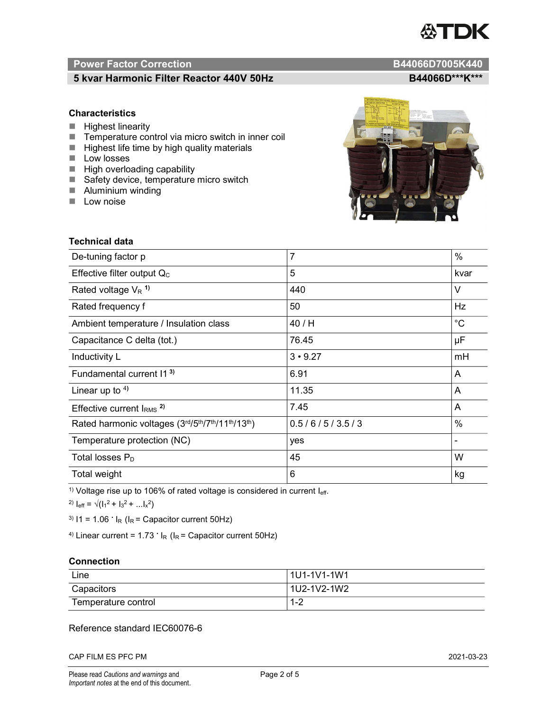# TDK

### Power Factor Correction and Content of Content of Content of Content of Content of Content of Content of Content of Content of Content of Content of Content of Content of Content of Content of Content of Content of Content

### 5 kvar Harmonic Filter Reactor 440V 50Hz B44066D\*\*\*K\*\*\*

### **Characteristics**

- $H$  Highest linearity
- Temperature control via micro switch in inner coil
- $\blacksquare$  Highest life time by high quality materials
- **Low** losses
- $\blacksquare$  High overloading capability
- Safety device, temperature micro switch
- **Aluminium winding**
- **Low noise**

| <b>Technical data</b>                           |                |             |
|-------------------------------------------------|----------------|-------------|
| De-tuning factor p                              | $\overline{7}$ | $\%$        |
| Effective filter output $Q_C$                   | 5              | kvar        |
| Rated voltage $V_R$ <sup>1)</sup>               | 440            | $\vee$      |
| Rated frequency f                               | 50             | Hz          |
| Ambient temperature / Insulation class          | 40 / H         | $^{\circ}C$ |
| Capacitance C delta (tot.)                      | 76.45          | μF          |
| Inductivity L                                   | $3 \cdot 9.27$ | mH          |
| Fundamental current 11 <sup>3)</sup>            | 6.91           | A           |
| Linear up to $4$ )                              | 11.35          | A           |
| Effective current $IRMS$ <sup>2)</sup>          | 7.45           | A           |
| Rated harmonic voltages (3rd/5th/7th/11th/13th) | 0.5/6/5/3.5/3  | $\%$        |
| Temperature protection (NC)                     | yes            |             |
| Total losses $P_D$                              | 45             | W           |
| Total weight                                    | 6              | kg          |

<sup>1)</sup> Voltage rise up to 106% of rated voltage is considered in current  $I_{\text{eff}}$ .

<sup>2)</sup>  $I_{eff} = \sqrt{(I_1^2 + I_3^2 + ... I_x^2)}$ 

<sup>3)</sup>  $11 = 1.06$   $\cdot$   $I_R$  ( $I_R$  = Capacitor current 50Hz)

<sup>4)</sup> Linear current =  $1.73$   $\cdot$  I<sub>R</sub> (I<sub>R</sub> = Capacitor current 50Hz)

### **Connection**

| Line                | l 1U1-1V1-1W1       |
|---------------------|---------------------|
| Capacitors          | l 1U2-1V2-1W2       |
| Temperature control | <u> 4 ຕ</u><br>ے- ا |

### Reference standard IEC60076-6

CAP FILM ES PFC PM 2021-03-23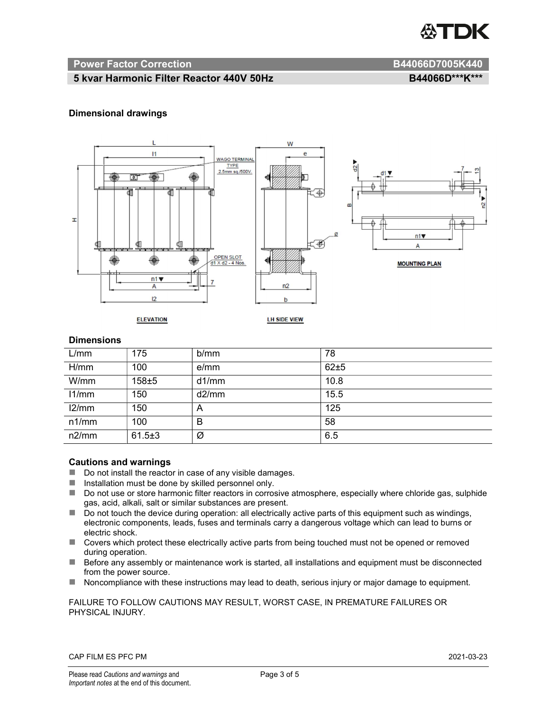

### Power Factor Correction and B44066D7005K440

### 5 kvar Harmonic Filter Reactor 440V 50Hz BA4060M B44066D\*\*\*K\*\*\*

### Dimensional drawings



### **Dimensions**

| L/mm  | 175          | b/mm  | 78   |
|-------|--------------|-------|------|
| H/mm  | 100          | e/mm  | 62±5 |
| W/mm  | $158 \pm 5$  | d1/mm | 10.8 |
| 11/mm | 150          | d2/mm | 15.5 |
| 12/mm | 150          | A     | 125  |
| n1/mm | 100          | B     | 58   |
| n2/mm | $61.5 \pm 3$ | Ø     | 6.5  |

### Cautions and warnings

- Do not install the reactor in case of any visible damages.
- $\blacksquare$  Installation must be done by skilled personnel only.
- Do not use or store harmonic filter reactors in corrosive atmosphere, especially where chloride gas, sulphide gas, acid, alkali, salt or similar substances are present.
- $\Box$  Do not touch the device during operation: all electrically active parts of this equipment such as windings, electronic components, leads, fuses and terminals carry a dangerous voltage which can lead to burns or electric shock.
- Covers which protect these electrically active parts from being touched must not be opened or removed during operation.
- Before any assembly or maintenance work is started, all installations and equipment must be disconnected from the power source.
- Noncompliance with these instructions may lead to death, serious injury or major damage to equipment.

### FAILURE TO FOLLOW CAUTIONS MAY RESULT, WORST CASE, IN PREMATURE FAILURES OR PHYSICAL INJURY.

### CAP FILM ES PFC PM 2021-03-23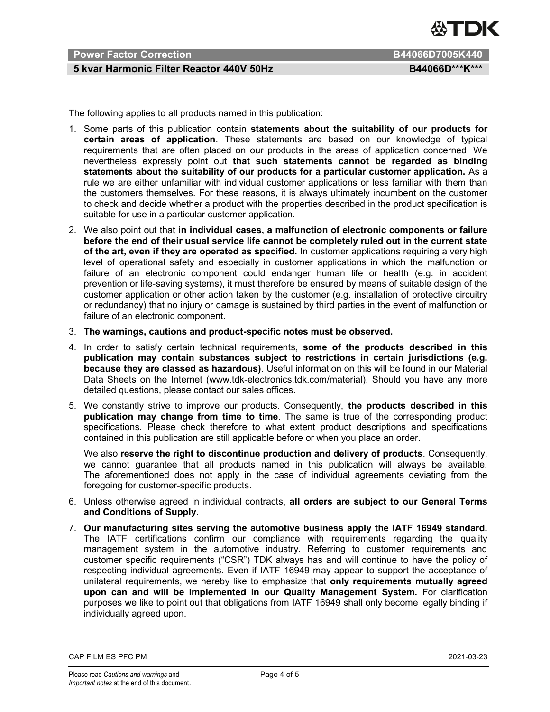

### Power Factor Correction B44066D7005K440

### 5 kvar Harmonic Filter Reactor 440V 50Hz BA4060M B44066D\*\*\*K\*\*\*

The following applies to all products named in this publication:

- 1. Some parts of this publication contain statements about the suitability of our products for certain areas of application. These statements are based on our knowledge of typical requirements that are often placed on our products in the areas of application concerned. We nevertheless expressly point out that such statements cannot be regarded as binding statements about the suitability of our products for a particular customer application. As a rule we are either unfamiliar with individual customer applications or less familiar with them than the customers themselves. For these reasons, it is always ultimately incumbent on the customer to check and decide whether a product with the properties described in the product specification is suitable for use in a particular customer application.
- 2. We also point out that in individual cases, a malfunction of electronic components or failure before the end of their usual service life cannot be completely ruled out in the current state of the art, even if they are operated as specified. In customer applications requiring a very high level of operational safety and especially in customer applications in which the malfunction or failure of an electronic component could endanger human life or health (e.g. in accident prevention or life-saving systems), it must therefore be ensured by means of suitable design of the customer application or other action taken by the customer (e.g. installation of protective circuitry or redundancy) that no injury or damage is sustained by third parties in the event of malfunction or failure of an electronic component.
- 3. The warnings, cautions and product-specific notes must be observed.
- 4. In order to satisfy certain technical requirements, some of the products described in this publication may contain substances subject to restrictions in certain jurisdictions (e.g. because they are classed as hazardous). Useful information on this will be found in our Material Data Sheets on the Internet (www.tdk-electronics.tdk.com/material). Should you have any more detailed questions, please contact our sales offices.
- 5. We constantly strive to improve our products. Consequently, the products described in this publication may change from time to time. The same is true of the corresponding product specifications. Please check therefore to what extent product descriptions and specifications contained in this publication are still applicable before or when you place an order.

We also reserve the right to discontinue production and delivery of products. Consequently, we cannot guarantee that all products named in this publication will always be available. The aforementioned does not apply in the case of individual agreements deviating from the foregoing for customer-specific products.

- 6. Unless otherwise agreed in individual contracts, all orders are subject to our General Terms and Conditions of Supply.
- 7. Our manufacturing sites serving the automotive business apply the IATF 16949 standard. The IATF certifications confirm our compliance with requirements regarding the quality management system in the automotive industry. Referring to customer requirements and customer specific requirements ("CSR") TDK always has and will continue to have the policy of respecting individual agreements. Even if IATF 16949 may appear to support the acceptance of unilateral requirements, we hereby like to emphasize that only requirements mutually agreed upon can and will be implemented in our Quality Management System. For clarification purposes we like to point out that obligations from IATF 16949 shall only become legally binding if individually agreed upon.